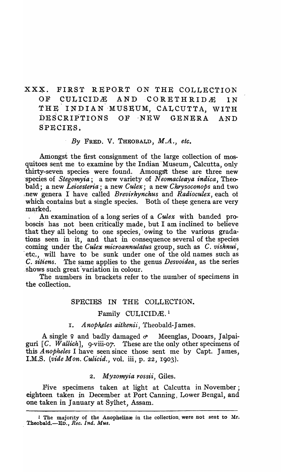XXX. FIRST REPORT ON THE COLLECTION OF CULICIDE AND CORETHRIDE IN THE INDIAN MUSEUM, CALCUTTA, WITH DESCRIPTIONS OF NEW GENERA AND SPECIES.

### *By* FRED. V. THEOBALD, *M.A., etc.*

Amongst the first consignment of the large collection of mosquitoes sent me to examine by the Indian Museum, Calcutta, only thirty-seven species were found. Amongst these are three new species of *Stegomyia*; a new variety of *Neomacleaya indica*, Theobald; a new *Leicesteria;* a new *Culex;* a new *Chrysoconops* and two lnew genera 1 have called *Brevirhynchuls* and *Radioculex,* each ot which contains but a single species. Both of these genera are very .marked.

. An examination of a long series of a *Culex* with banded proboscis' has not been critically made, but I am inclined to believe that they all belong to one species, owing to the various gradations seen in it, and that in consequence several of the species coming under the *Culex microannulatus* group, such as *C. vishnui*, etc., will have to be sunk under one of the old names such as C. *sitiens.* The same applies to the genus *Desvoidea,* as the series shows such great variation in colour.

The numbers in brackets refer to the number of specimens in the collection.

# SPECIES IN THE COLLECTION.

#### Family CULICIDÆ.<sup>1</sup>

#### I. *Anopheles aitkenii*, Theobald-James.

A single  $\varphi$  and badly damaged  $\sigma$  Meenglas, Dooars, Jalpaiguri [C. Wallich], 9-viii-07. These are the only other specimens of this *A nopheles* I have seen since those sent me by Capt. James, I.M.S. *(vide Mon. Culicid.,* vol. iii, p. 22, 1903).

#### *2. Myzomyia rossii,* Giles.

Five specimens taken at light at Calcutta in November; eighteen taken in December at Pott Canning, Lower Bengal, and one taken in January at Sylhet, Assam.

<sup>1</sup> The majority of the Anophelinæ in the collection, were not sent to Mr. . Theobald.-Ev., *Rec. Ind. Mus.*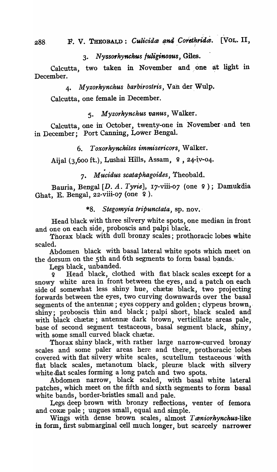3. N *'YssOfhynchus fUliginosus,* Giles.

Calcutta, two taken in November and, one at light in December.

*4. Myzorhynchus barbirostris,* Van der.Wtilp.

Calcutta, one female in December.

*5. Myzorhynchus fJanus,* Walker.

Calcutta, one in October, twenty-one in November and ten in December; Port Canning, Lower Bengal.

6. *Toxorhynchites immisericors,* Walker.

Aijal (3,600 ft.), Lushai Hills, Assam,  $9$ , 24-iv-04.

• 7. M *uc·idus scataphagoides,* Theobald.

Bauria, Bengal [D. A. Tyrie], 17-viii-07 (one 9); Damukdia Ghat, E. Bengal,  $22$ -viii-07 (one  $9$ ).

*\*8. Stegomyia tripunctata,* sp. nov.'

Head black with three silvery white spots, one median in front and one on each side, proboscis and palpi black.

Thorax black with dull bronzy scales; prothoracic lobes white scaled.

Abdomen black with basal lateral white spots which meet on the dorsum on the 5th and 6th segments to form basal bands.

Legs black, unbanded.

Figure 2.1 Head black, clothed with flat black scales except for a snowy white area in front between the eyes, and a patch on each side of somewhat less shiny hue, chætæ black, two projecting forwards between the eyes, two curving downwards over the basal segments of the antennee; eyes coppery and golden; clypeus brown, shiny; proboscis thin and black; palpi short, black scaled and with black chætæ; antennæ dark brown, verticillate areas pale, base of second segment testaceous, basal segment black, shiny, with some small curved black chætæ.

Thorax shiny black, with rather large narrow-curved bronzy' scales and some paler areas here and there, prothoracic lobes covered with fiat silvery white scales, scutellum testaceous' with flat black scales, metanotum black, pleuræ black with silvery white flat scales forming a long patch and two spots.

Abdomen narrow, black scaled, with basal white lateral patches, which meet on the fifth and sixth segments to form basal white bands, border-bristles small and pale.

Legs deep brown with bronzy reflections, venter of femora and cox $x$  pale; ungues small, equal and simple.

Wings with dense brown scales, almost *T aniorhynchus*-like in form, first submarginal cell much longer, but scarcely narrower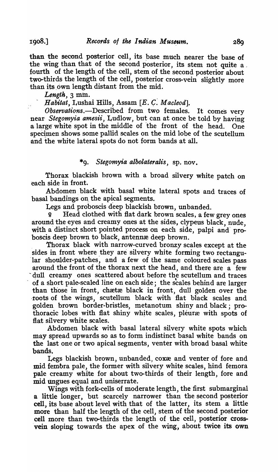1908.]

than the second posterior cell, its base much nearer the base of the wing than that of the second posterior, its stem not quite a, fourth of the length of the cell, stem of the second posterior about two-thirds the length of the cell, posterior cross-vein slightly more than its own length distant from the mid.

*Length,* 3 min.

Habitat, Lushai Hills, Assam [E. C. *Macleod*].

*Observations.*—Described from two females. It comes very near- *Stegomyia amesii,* Ludlow, but can at once be told by having a large white spot in the middle of the front of the head. One specimen shows some pallid scales on the mid lobe of the scutellum and the white lateral spots do not form bands at all.

# *\*9. Stegomyia albolateralis,* sp. nov.

Thorax blackish hrown with a broad silvery white patch on each side in front.

Abdomen black with basal white lateral spots and traces of basal bandings on the apical segments.

Legs and proboscis deep blackish brown, unbanded.

q Head clothed with flat dark brown scales, a few grey ones around the eyes and creamy ones at the sides, clypeus black, nude, with a distinct short pointed process on each side, palpi and proboscis deep brown to black, antennæ deep brown.

Thorax black with narrow-curved bronzy scales except at the sides in front where they are silvery white forming two rectangular shoulder-patches, and a few of the same coloured scales pass around the front of the thorax next the head, and there are a few 'dull creamy ones scattered about before the scutellum and traces of a short pale-scaled line on each side; the scales behind are larger than those in front, chætæ black in front, dull golden over the roots of the wings, scutellum black with flat black scales and golden brown border-bristles, metanotum shiny and black; prothoracic lobes with flat shiny white scales, pleuræ with spots of flat silvery white scales.

Abdomen black with basal lateral silvery white spots which may spread upwards so as to form indistinct basal white bands on the last one or two apical segments, venter with broad basal white bands.

Legs blackish brown, unbanded, coxxe and venter of fore and mid fembra pale, the former with silvery white scales, hind femora pale creamy white for about two-thirds of their length, fore and mid Ungues equal and uniserrate.

Wings with fork-cells of moderate length, the first submarginal a little longer, but scarcely narrower than the second posterior cell, its base about level with that of the latter, its stem a little more than half the length of the cell, stem of the second posterior cell more than two-thirds the length of the cell, posterior cross- 'vein sloping towards the apex of the wing, about twice its own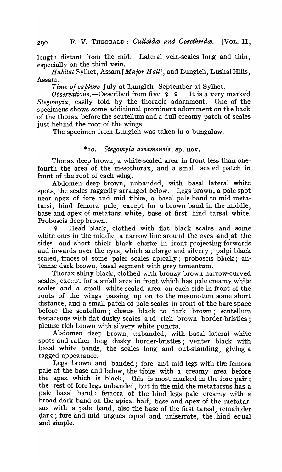length distant from the mid. Lateral vein-scales long and thin, especially on the third vein.

*Habitat* Sylhet, Assam [Major Hall], and Lungleh, Lushai Hills, Assam.

*Time of capture* July at Lungleh, September at Sylhet.

*Observations.*-Described from five  $9 \quad 1$  It is a very marked *Stegomyia*, easily told by the thoracic adornment. One of the specimens shows some additional prominent adornment on the back of the thorax beforethe scutellum and a dull creamy patch of scales just behind the root of the wings.

The specimen from Lungleh was taken in a bungalow.

# *\*10. Stegomyia assamensis,* sp. nov.

Thorax deep brown, a white-scaled area in front less than onefourth the area of the mesothorax, and a small scaled patch in front of the root of each wing.

Abdomen deep brown, unbanded, with basal lateral white spots, the scales raggedly arranged below. Legs brown, a pale spot near apex of fore and mid tibiæ, a basal pale band to mid metatarsi, hind femora" pale, except for a brown band in the middle, base and apex of metatarsi white, base of first hind tarsal white. Proboscis deep brown.

9' Head black, clothed with fiat black scales. and some' white ones in the middle, a narrow line around the eyes and at the sides, and short thick black chaetae in front projecting forwards and inwards over the eyes, which are large and silvery; palpi black scaled, traces of some paler scales apically; proboscis black; antennæ dark brown, basal segment with grey tomentum.

Thorax shiny black, clothed with bronzy brown narrow-curved scales, except for a small area in front which has pale creamy white scales and a small white-scaled area on each side in front of the roots of the wings passing up on to the mesonotum some short distance, and a small patch of pale scales in front of the bare space before the scutellum; chætæ black to dark brown; scutellum testaceous with flat dusky scales and rich brown border-bristles; pleuræ rich brown with silvery white puncta.

Abdomen deep brown, unbanded, with basal lateral white spots and rather long dusky border-bristles; venter black with basal white bands} the scales long and out-standing, giving a ragged appearance.

Legs brown and banded; fore and mid legs with the femora pale at the base and below, the tibixe with a creamy area before the apex which is black,—this is most marked in the fore pair; the rest of fore legs unbanded, but in the mid the metatarsus has a pale basal band; femora of the hind legs pale, creamy with a broad dark band on the apical half, base and apex of the metatarsus with a pale band, also the base of the first tarsal, remainder dark; fore and mid ungues equal and uniserrate, the hind equal and simple.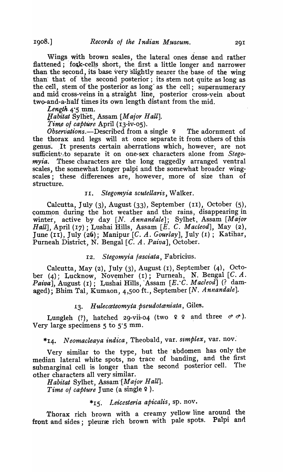1908.]

Wings with brown scales, the lateral ones dense and rather flattened; fork-cells short, the first a little longer and narrower than the second, its base very slightly nearer the base of the wing than that of the second posterior; its stem not quite as long as the cell, stem of the posterior as long as the cell; supernumerary and mid cross-veins in a straight line, posterior cross-vein about two-and-a-half times its own length distant from the mid.

*Length* 4.5 mm.

*l! a bit at* Sylhet, Assam *"[Major Hall].* 

*Time of capture* April (13-iv-05).

*Observations.*—Described from a single  $\varphi$  The adornment of the thorax and legs will at once separate it from others of this genus. It presents certain aberrations which, however, are not sufficient<sub>1</sub> to separate it on one-sex characters alone from *Stegomyia.* These characters are the long raggedly arranged ventral scales, the somewhat longer palpi and the somewhat broader wingscales; these differences are, however, more of size than of structure.

# 11. *Stegomyia scutellaris,* Walker.

Calcutta, July (3), August (33), September (II), October (S), common during the hot weather and the rains, disappearing in winter, active by day [N. *Annandale*]; Sylhet, Assam [Major *Hall],* April (17) ; Lushai Hills, Assam [E. C. *Macteod],* May (2), June (II), July (2Q); Manipur [C. A. *Gourlay],* July (1); Katihar, Purneah District, N. Bengal [C~ A. *Paiva],* October.

#### I2. *Stegomyia lasciata,* Fabricius.

Calcutta, May (2), July (3), August (I), September (4), October (4); Lucknow, November (I); Purneah, N. Bengal  $[C, A.$ *Paiva],* August (r); Lushai Hills, 'Assam *[E. "C. Macleod]* (? damaged); Bhim Tal, Kumaon, 4,500 ft., September [N. Annandale].

#### 1~. *H ulecmteomyia, pseudotceniata,* Giles.

Lungleh (?), hatched 29-vii-04 (two  $9$   $9$  and three  $\sigma \sigma$ ). Very large specimens  $5$  to  $5.5$  mm.

# \*r4- *Neomacleaya indica,* Theobald, var. *si1nplex,* var. nov:

Very similar to the type, but the 'abdomen has only the median lateral white spots, no trace of banding, and the first submarginal cell is longer than the second posterior cell. The other characters all very similar.

*Habitat* Sylhet, *Assam-[M ajor Hall]. Time of capture* June (a single  $9$ ).

#### *\*15', Leicesteria apicalis,* sp. nov.

Thorax rich brown with a creamy yellow line around the front and sides; pleuræ rich brown with pale spots. Palpi and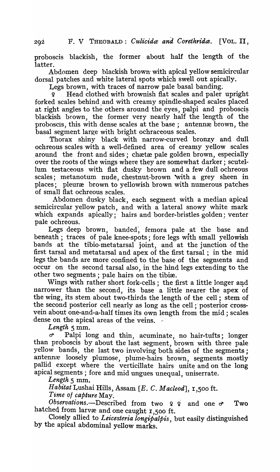proboscis blackish, the former about half the length of the latter.

Abdomen deep blackish brown- with apical yellow semicircular dorsal patches and white lateral spots which swell out apically.

Legs brown, with traces of narrow pale basal banding.

Head clothed with brownish flat scales and paler upright forked scales behind and with creamy spindle-shaped scales placed at right angles to the others around the eyes, palpi and proboscis blackish brown, the former very nearly half the length of the proboscis, this with dense scales at the base; antennae brown, the basal segment large with bright ochraceous scales.

Thorax shiny black with narrow-curved bronzy and dull ochreous scales with a well-defined area of creamy yellow scales around the front and sides; chætæ pale golden brown, especially over the roots of the wings where they are somewhat darker; scutellum testaceous with fiat dusky brown and a few dull ochreous scales; metanotum nude, chestnut-brown with a grey sheen in places; pleuræ brown to yellowish brown with numerous patches of small flat ochreous scales.

Abdomen dusky black, each segment with a median apical semicircular yellow patch, and with a lateral snowy white mark which expands apically; hairs and border-bristles golden; venter pale ochreous.

Legs deep brown, banded, femora pale at the base and beneath; traces of pale knee-spots; fore legs with small yellowish bands at the tibio-metatarsal joint, and at the junction of the first tarsal and metatarsal and apex of the first tarsal; in the mid legs the bands are more confined to the base of the segments and occur on the second tarsal also, in the hind legs extending to the other two segments; pale hairs on the tibiæ.

Wings with rather short fork-cells; the first a little longer and narrower than the second, its base a little nearer the apex of the wing, its stem about two-thirds the length of the cell; stem of the second posterior cell nearly as long as the cell; posterior crossvein about one-and-a-half times its own length from the mid; scales dense on the apical areas of the veins.

*Length* 5 mm.

*d'* Palpi long and thin, acuminate, no hair-tufts; longer than proboscis by about the last segment, brown with three pale yellow bands, the last two involving both sides of the segments; antennæ loosely plumose, plume-hairs brown, segments mostly pallid except where the verticillate hairs unite and on the long apical segments; fore and mid ungues unequal, uniserrate.

*Length* 5 mm.

*Habitat* Lushai Hills, Assam *[E.* C. *Macleod],* I,500 ft.

*Time of capture* May.

*Observations.*-Described from two ? ? and one  $\sigma$  Two hatched from larvæ and one caught  $1,500$  ft.

Closely allied to *Leicesteria longipalpis*, but easily distinguished by the apical abdominal yellow marks.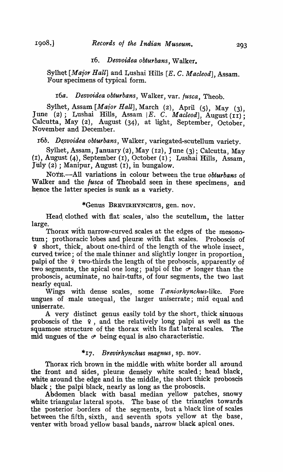# r6. *Desvoidea obturbans,* Walker.

Sylhet [Major Hall] and Lushai Hills [E. C. Macleod], Assam. Four specimens of typical form.

# 16a. *Desvoidea obturbans*, Walker, var. *fusca*, Theob.

Sylhet, Assam [Major Hall], March (2), April (5), May (3), June (2); Lushai Hills, Assam | E. C. *Macleod*], August (II); Calcutta, May (2), August (34), at light, September, October: November and December.

#### 16b. Desvoidea obturbans, Walker, variegated-scutellum variety.

Sylhet, Assam, January (2), May (12), June (3); Calcutta, May (I), August (4), September (I), October (r); Lushai Hills, Assam, Jilly (2) ; Manipur, August (I), in bungalow.

NOTE.-All variations in colour between the true *obturbans* of Walker and the *fusca* of Theobald seen in these specimens, and hence the latter species is sunk as a variety.

#### \*Genus BREVIRHYNCHUS, gen. nov.

Head clothed with flat scales, also the scutellum, the latter large.

Thorax with narrow-curved scales at the edges of the mesonotum; prothoracic lobes and pleuræ with flat scales. Proboscis of <sup>~</sup>short, thick, about one-third of the length of the whole insect, curved twice; of the male thinner and slightly longer in proportion, palpi of the  $\varphi$  two-thirds the length of the proboscis, apparently of two segments, the apical one long; palpi of the  $\sigma$  longer than the proboscis, acuminate, no hair-tufts, of four segments, the two last nearly equal.

Wings with dense scales, some *Taniorhynchus-like*. Fore ungues of -male unequal, the larger uniserrate; mid equal and uniserrate.

A very distinct genus easily told by the short, thick sinuous proboscis of the  $\varphi$ , and the relatively long palpi as well as the squamose structure of the thorax with its flat lateral scales. The mid ungues of the  $\sigma$  being equal is also characteristic.

# *\*17- Brevirhynchus magnus,* sp. nov.

Thorax rich brown in the middle with white border all around the front and sides, pleuræ densely white scaled; head black, white around the edge and in the middle, the short thick proboscis black; the palpi black, nearly as long as the proboscis.

Abdomen black with basal median yellow patches, snowy white triangular lateral spots. The base of the triangles towards the posterior ,borders of the segments, but a black line of scales between the fifth, sixth, and seventh spots yellow at the base, venter with broad yellow basal bands, narrow black apical ones.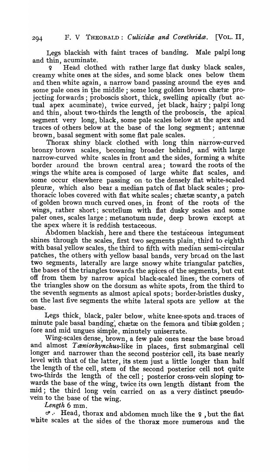Legs blackish with faint traces of banding. Male palpi long and thin, acuminate.

Head clothed with rather large flat dusky black scales, creamy white ones at the sides, and some black ones below them and then white again, a narrow band passing around the eyes and some pale ones in the middle; some long golden brown chaetae projecting forwards; proboscis short, thick, swelling apically (but actual apex acuminate), twice curved, jet black, hairy; palpi long and thin, about two-thirds the length of the proboscis, the apical segment very long, black, some pale scales below at the apex and traces of others below at the base of the long segment; antennæ brown, basal segment with some flat pale scales.

Thorax shiny black clothed with long thin narrow-curved bronzy brown scales, becoming broader behind, and with large narrow-curved white scales in front and the sides, forming a white border around the brown central area; toward the roots of the wings the white area is composed of large white flat scales, and some occur elsewhere passing on to the densely flat white-scaled pleuræ, which also bear a median patch of flat black scales; prothoracic lobes covered with flat white scales; chætæ scanty, a patch of golden brown mnch curved ones, in front of the roots of- the wings, rather short; scutellum with fiat dusky scales and some paler ones, scales large; metanotum nude, deep brown except at the apex where it is reddish testaceous. .

Abdomen blackish, here and there the testaceous integument shines through the scales, first two segments plain, third to eighth with basal yellow scales, the third to fifth with median semi-circular patches, the others with yellow basal bands, very broad on the last two segments, laterally are large snowy white triangular patches, the bases of the triangles towards the apices of the segments, but cut off from them by narrow apical black-scaled lines, the corners of the triangles show on the dorsum as white spots, from the third to the seventh segments as almost apical spots; border-bristles dusky, on the last five segments the white lateral spots are yellow at the base.

Legs thick, black, paler below, white knee-spots and traces of minute pale basal banding; chætæ on the femora and tibiæ golden; fore and mid ungues simple, minutely uniserrate.

Wing-scales dense, brown, a few pale ones near the base broad and almost *Taniorhynchus*-like in places, first submarginal cell longer and narrower than the second posterior cell, its base nearly level with that of the latter, its stem just a little longer than half the length of the cell, stem of the second posterior cell not quite two-thirds the length of the cell; posterior cross-vein sloping towards the base of the wing, twice its own length distant from the mid; the third long vein carried on as a very distinct pseudovein to the base of the wing.

*'Length* 6 mm.

*d'.,* Head, thorax and abdomen much like the ~ , but the flat white scales at the sides of the thorax more numerous and the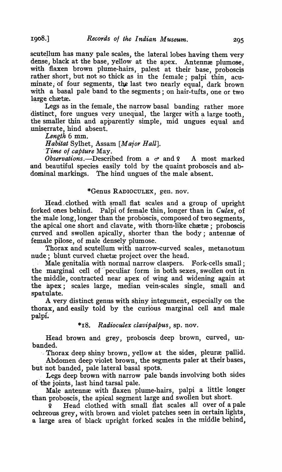scutellum has many pale scales, the lateral lobes having them very dense, black at the base, yellow at the apex. Antennæ plumose, with flaxen brown plume-hairs, palest at their base, proboscis rather short, but not so thick as in the female; palpi thin, acuminate, of four segments, the last two nearly equal, dark brown with a basal pale band to the segments; on hair-tufts, one or two large chætæ.

Legs as in the female, the narrow basal banding rather more distinct, fore ungues very unequal, the larger with a large tooth, the smaller thin and apparently simple, mid ungues equal and uniserrate, hind absent.

*Length* 6 mm.

*Habitat* Sylhet, Assam *[Maior Hall].* 

*-Time 01 capture* May.

*Observations.*—Described from a  $\sigma$  and  $\Omega$  A most marked and beautiful species easily told by the quaint proboscis and abdominal markings. The hind ungues of the male absent.

#### \*Genus RADIOCULEX, gen. nov.

Head clothed with small flat scales and a group of upright forked ones behind. Palpi of female thin, longer than in *Culex*, of the male long, longer than the proboscis, composed of two segments, the apical one short and clavate, with thorn-like chaetae; proboscis curved and swollen apically, shorter than the body; antennæ of female pilose, of male densely plumose.

Thorax and scutellum with narrow-curved scales, metanotum nude; blunt curved chætæ project over the head.

Male genitalia with normal narrow claspers. Fork-cells small; the marginal cell of peculiar form in both sexes, swollen out in the middle, contracted near apex of wing and widening again at the apex; scales large, median vein-scales single, small and spatulate.

A very distinct genns with shiny integument, especially on the thorax, and easily told by the curious marginal cell and male palpi.

\*18. Radioculex *clavipalpus*, sp. nov.

Head brown and. grey, proboscis deep brown, curved, unbanded,.

Thorax deep shiny brown, yellow at the sides, pleuræ pallid.

Abdomen deep violet brown, the segments paler at their bases, but not banded, pale lateral basal spots.

Legs deep brown with narrow pale bands involving both sides of the joints, last hind tarsal pale.

Male antennæ with flaxen plume-hairs, palpi a little longer than proboscis, the apical segment large and swollen but short.

 $\overline{q}$  Head clothed with small flat scales all over of a pale ochreous grey, with brown and violet patches seen in certain lights, a large area of black upright forked scales in the middle behind,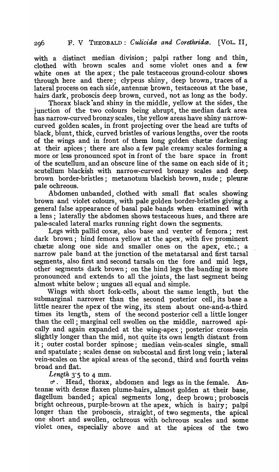with a distinct median division; palpi rather long and thin, clothed with brown scales and some violet ones and a few white ones at the apex; the pale testaceous ground-colour shows through here and there; clypeus shiny, deep brown, traces of a lateral process on each side, antennæ brown, testaceous at the base, hairs dark, proboscis deep brown, curved, not as long as the body.

Thorax black-and shiny in the middle, yellow at the sides, the junction of the two colours being abrupt, the median dark area has narrow-curved bronzy scales, the yellow areas have shiny narrowcurved golden scales, in front projecting over the head are tufts of black, blunt, thick, curved bristles of various lengths, over the roots of the wings and in front of them long golden chartae darkening at their apices; there are also a few pale creamy scales forming a more or less pronounced spot in front of the bare space in front of the scutellum, and an obscure line of the same on each side of it; scutellum blackish with narrow-curved bronzy scales and deep. brown border-bristles; metanotum blackish brown, nude; pleuræ pale ochreous.

Abdomen unbanded, clothed with small flat scales showing hrown and violet colours, with pale golden border-bristles giving a general false appearance of basal pale bands when examined with a lens; laterally the abdomen shows testaceous hues, and there are pale-scaled lateral marks running right down the segments.`

Legs with pallid coxæ, also base and venter of femora; rest dark brown; hind femora yellow at the apex, with five prominent chætæ along one side and smaller ones on the apex, etc.; a narrow pale band at the junction of the metatarsal and first tarsal segments, also first and second tarsals on the fore and mid legs, other segments dark brown; on the hind legs the banding is more pronounced and extends to all the joints, the last segment being almost white below; ungues all equal and simple.

Wings with short fork-cells, about the same length, but the submarginal narrower than the second posterior cell, its base a little nearer the apex of the wing, its stem about one-and-a-third times its length, stem of the second posterior cell a little longer than the cell; marginal cell swollen on the middle, narrowed apically and again expanded at the wing-apex ; posterior cross-vein slightly longer than the mid, not quite its own length distant from it; outer costal border spinose; median vein-scales single, small and spatulate; scales dense on subcostal and first long vein; lateral vein-scales on the apical areas of the second, third and fourth veins broad and fiat.

*Length* 3·5 to 4 mm.

d". Head, thorax, abdomen and legs as in the female. Antennæ with dense flaxen plume-hairs, almost golden at their base, flagellum banded; apical segments long, deep brown; proboscis bright ochreous, purple-brown at the apex, which is hairy; palpi longer than the proboscis, straight, of two segments, the apical one short and swollen, ochreous with ochreous scales and some violet ones, especially above and at the apices of the two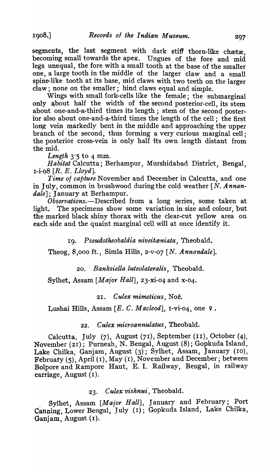segments, the last segment with dark stiff thorn-like chætæ. becoming small towards the apex. Ungues of the fore and mid legs, unequal, the fore with a small tooth at the base of the smaller one, a large tooth in the middle of the larger claw and a small spine-like tooth at its base, mid claws with two teeth on the larger claw; none on the smaller; hind claws equal and simple.

Wings with small fork-cel1s like the female; the submarginal only about half the width of the second posterior-cell, its stem about one-and-a-third times its length; stem of the second posterior also, about one-and-a-third times the length of the cell; the first long vein markedly bent in the middle and approaching the upper branch of the second, thus forming a very curious marginal cell; the posterior cross-vein is only half its own length distant from the mid.

*Length* 3'5 to 4 mm.

Habitat Calcutta; Berhampur, Murshidabad District, Bengal, 1-i-08 [R. E. *Lloyd*].

*Time 01 capture* November and December in Calcutta, and one in July, common in brushwood duringthe cold weather [N. *Annandale];* January at Berhampur.

*Observations.*—Described from a long series, some taken at light. The specimens show some variation in size and colour, but the marked black shiny thorax with the clear-cut yellow area on each side and the quaint marginal cel1 will at once identify it.

r9. *Pseudotheobaldia niveitceniata,* Theobald.

Theog, 8,000 ft., Simla Hills, 2-v-07 [N. *Annandale].* 

20. Banksiella luteolateralis, Theobald.

Sylhet, Assam *[Major Hall],* 23-xi-04 and x-04.

#### *21. Culex mimeticus,* Noe.

Lushai Hills, Assam [E. C. Macleod], I-vi-04, one 9.

## *22. Culex microannulatus,* Theobald.

Calcutta, July (7), August (71), September (II), October (4), November (21); Purneah, N. Bengal, August (8); Gopkuda Island, Lake Chilka, Ganjam, August (3); Sylhet, Assam, January (ro), February (5), April (1), May (1), November and December; between Bolpore and Rampore Raut, E. I. Railway, Bengal, in railway carriage, August (1).

# *23. Culex vishnui.,* Theobald.

Sylhet, Assam *[Major Hall]*, January and February; Port Canning, Lower Bengal, July (1); Gopkuda Island, Lake Chilka, Ganjam, August (I).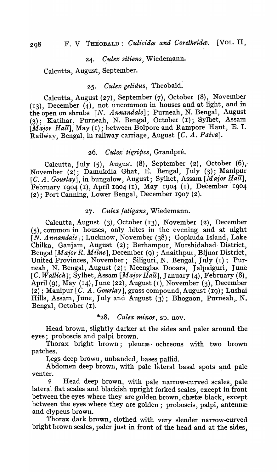### 24. Culex sitiens, Wiedemann.

Calcutta, August, September.

# *25. Culex gelidus,* Theobald.

Calcutta, August (27), September (7), October (8), November (13), December {4), not uncommon in houses and at light, and in the open on shrubs *[N. Annandale];* Purneah, N. Bengal~ August (3); Katihar, Purneah, N. Bengal, October (1); Sylhet, Assam *[Major Hall]*, May (I); between Bolpore and Rampore Haut, E. I. Railway, Bengal, in railway carriage, August  $[C. A. Paiva].$ 

# 26. *Culex' tigripes,* Grandpre.

Calcutta, July  $(5)$ , August  $(8)$ , September  $(2)$ , October  $(6)$ , November  $(2)$ ; Damukdia Ghat, E. Bengal, July (3); Manipur [C. A. Gourlay], in bungalow, August; Sylhet, Assam [Major Hall], February Ig04 (1), April 1904 (1), May Ig04 (r), December 1904 (2); Port Canning, Lower Bengal, December Ig07 (2).

## *27. Culex fatigans,* Wiedemann.

Calcutta, August (3), October (13), November (2), December (5), common in houses, only ,bites in the evening and at night [N. Annandale]; Lucknow, November (38); Gopkuda Island, Lake Chilka, Ganjam, August (2); Berhampur, Murshidabad, District, Bengal *[Major R. Milne]*, December (9) ; Anaithpur, Bijnor District, United Provinces, November; Siliguri, N. Bengal, July (1); Purneah, N. Bengal, August (2); Meenglas Dooars, Jalpaiguri, June *[C. Wallich];* Sylhet, Assam *[Maior Hall],* January (4), February (8), April (9), May (14), June (22), August (1), November (3), December (2); Manipur [C. A. Gourlay], grass compound, August (19); Lushai Hills, Assam, June, July and August (3); Bhogaon, Purneah, N. Bengal, October (I).

## \*28. C *l/'lex minor,* sp. nov.

Head brown, slightly darker at the sides and paler around the eyes; proboscis and palpi brown.

Thorax bright brown; pleuræ ochreous with two brown patches.

Legs deep brown, unbanded, bases pallid.

Abdomen deep brown, with pale lateral basal spots and pale venter.

<sup>~</sup>Head deep brown, with pale narrow-curved scales, pale lateral flat scales and blackish upright forked scales, except in front between the eyes where they are golden brown, chætæ black, except between the eyes where they are golden; proboscis, palpi, antennæ and clypeus brown.

Thorax dark brown, clothed with very slender narrow-curved bright brown scales, paler just in front of the head and at the sides,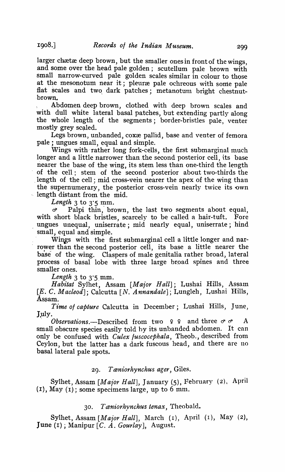larger chætæ deep brown, but the smaller ones in front of the wings, and some over the head pale golden; scutellum pale brown with small narrow-curved pale golden scales similar in colour to those at the mesonotum near it; pleuræ pale ochreous with some pale flat scales and two dark patches; metanotum bright chestnut-·brown.

Abdomen deep brown, clothed with deep brown scales and with dull white lateral basal patches, but extending partly along the whole length of the segments; border-bristles pale, venter mostly grey scaled.

Legs brown, unbanded, coxæ pallid, base and venter of femora pale; ungues small, equal and simple.

Wings with rather long fork-cells, the first submarginal much longer and a little narrower than the second posterior cell, its base nearer the base of the wing, its stem less than one-third the length of the cell; stem of the second posterior about two-thirds the length of the cell; mid cross-vein nearer the apex of the wing than the supernumerary, the posterior cross-vein nearly twice its own -. length distant from the mid.

*Length*  $3$  to  $3.5$  mm.

d' Palpi thin,' brown, the last two segments about equal, with short black bristles, scarcely to be called a hair-tuft. Fore ungues unequal, uniserrate; mid nearly equal, uniserrate; hind small; equal and simple.

Wings with the first submarginal cell a little longer and narrower than the second posterior cell, its base a little nearer the base of the wing. Claspers of male genitalia rather broad, lateral process of basal lobe with three large broad spines and three smaller ones.

*Length*  $3$  to  $3.5$  mm.

*Habitat* Sylhet, Assam *[Maior Hall];* Lushai Hills, Assam [E. C. *Macleod];* Calcutta [N. *Annandale];* Lungleh, Lushai Hills, Assam.

*Time of capture* Calcutta in December; Lushai Hills, June, July.

*. Observations.-Described* from two 9 9 and three *d' d'* A small obscure species easily told hy its unhanded abdomen. It can only be confused with *Culex fuscocephala,* Theob., described from Ceylon, but the latter has a dark fuscous head, and there are no basal lateral pale spots.

29. T *ceniorhynchus ager,* Giles.

Sylhet, Assam *[Maior Hall],* January (5), February (2), April  $(I)$ , May  $(I)$ ; some specimens large, up to 6 mm.

# *30. T ceniorhynchus tenax,* tfheobald.

Sylhet, Assam *[Major Hall],* March (I), April (1), May (2), June (I) ; Manipur *[C. A. Gourlay],* August.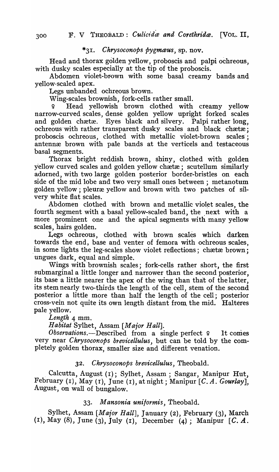# \*3I. *Chrysoconops pygmaus·,* sp. nov.

Head and thorax golden yellow, proboscis and palpi ochreous, with dusky scales especially at the tip of the proboscis.

Abdomen violet-brown with some basal creamy bands and yellow-scaled apex.

Legs unbanded. ochreous brown.

Wing-scales brownish, fork-cells rather small.

Head yellowish brown clothed with creamy yellow narrow-curved scales, dense golden yellow upright forked scales and golden chætæ. Eyes black and silvery. Palpi rather long, ochreous with rather transparent dusky scales and black chætæ; proboscis ochreous, clothed with metallic violet-brown scales·; antennæ brown with pale bands at the verticels and testaceous basal segments.

Thorax bright reddish brown, shiny, clothed with golden yellow curved scales and golden yellow chætæ; scutellum similarly adorned, with two large golden posterior border-bristles on each side of the mid lobe and two very small ones between; metanotum golden yellow; pleuræ yellow and brown with two patches of silvery white fiat scales.

Abdomen clothed with brown and metallic violet scales, the fourth segment with a basal yellow-scaled band, the next with a more -prominent one and the apical segments with many yellow scales, hairs golden.

Legs ochreous, clothed with brown scales which darken towards the end, base and venter of femora with ochreous scales, in some lights the leg-scales show violet reflections; chætæ brown; ungues dark, equal and simple.

Wings with brownish scales; fork-cells rather short, the first submarginal a little longer and narrower than the second posterior, its base a little nearer the apex of the wing than that of the latter, its stem nearly two-thirds the length of the cell, stem of the second posterior a little more than half the length of the cell; posterior cross-vein not quite its own length distant from, the mid. Halteres pale yellow.

*Length* 4 mm.

*Habitat* Sylhet, Assam *[Maior Hall].* 

*Observations.*—Described from a single perfect ? It comes very near *Chrysoconops brevicellulus,* but can be told by the completely golden thorax, smaller size and different venation.

# *32. Chrysoconops brevicellulus,* Theobald .

. Calcutta, August (1); Sylhet, Assam; Sangar, Manipur Hut, February (1), May (I), June (1), at night ; Manipur *[C. A. Gourlay],*  August, on wall of bungalow.

# 33. *Mansonia unilormis,* 'theobald.

Sylhet, Assam *[Maior Hall],* January (2), February (3), March (r), May (8), June (3), July (r), December (4); Manipur [C. A.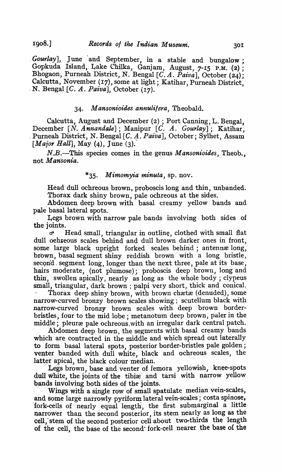*Gourlay*], June and September, in a stable and bungalow; Gopkuda Island, Lake Chilka, Ganjam, August, 7-15 P.M. (2) ; Bhogaon, Purneah District, N. Bengal [C. A. Paiva], October (24); Calcutta, November (17), some at light; Katihar, Purneah District, N. Bengal [C. A. *Paiva*], October (17).

# *34. M ansonioides annulilera,* Theobald.

Calcutta, August and December  $(2)$ : Port Canning, L. Bengal, December [N. *Annandale*]; Manipur [C. A. *Gourlay*]; Katihar, . Purneah District, N. Bengal [C. 4. *Paiva],* October; Sylhet, Assam *[Major Hall];* May (4), June (3).

N.B.-This species comes in the genus *Mansonioides,* Theob., not *Mansonia.* 

# *\*35. Mimomyia minuta,* sp. nov.

Head dull ochreous brown, proboscis long and thin, unbanded. Thorax dark shiny brown, pale ochreous at the sides.

Abdomen deep brown with basal creamy yellow bands and pale basal lateral spots.

Legs brown with narrow pale bands involving both sides of the joints.

*ci'* Head small, triangular in outline, clothed with small flat dull ochreous scales behind and dull brown darker ones in front, some large black upright forked scales behind; antennælong, brown, basal segment shiny reddish brown with a long bristle, second. segment long, longer than the next three, pale at its base, hairs moderate, (not plumose); proboscis deep brown, long and thin, swollen apically, nearly as long as the whole body; clypeus small, triangular, dark brown ; palpi very short, thick and conical. Thorax deep shiny brown, with brown chætæ (denuded), some narrow-curved bronzy brown scales showing; scutellum black with narrow-curved bronzy brown scales with deep brown borderbristles, four to the mid lobe; metanotum deep brown, paler in the middle; pleuræ pale ochreous.with an irregular dark central patch.

Abdomen deep brown, the segments with basal creamy bands which are contracted in the middle and which spread out laterally to form basal lateral spots, posterior border-bristles pale golden; venter banded with dull white, black and ochreous scales, the latter apical, the black colour median.

Legs brown, base and venter of femora yellowish, knee-spots dull white, the joints of the tibiæ and tarsi with narrow yellow bands involving both sides of the joints.

Wings with a single row of small spatulate median vein-scales, and some large narrowly pyriform lateral vein-scales; costa spinose, 'fork-cells of nearly equal length, the first submarginal a little narrower than the second posterior, its stem nearly as long as the cell, stem of the second posterior cell about two-thirds the length of the cell, the base of the second" fork-cell nearer the base of the